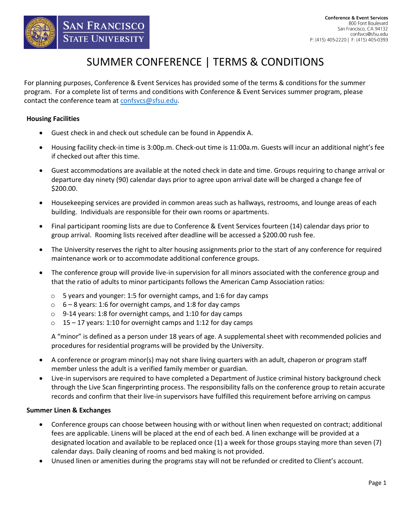

# SUMMER CONFERENCE | TERMS & CONDITIONS

For planning purposes, Conference & Event Services has provided some of the terms & conditions for the summer program.For a complete list of terms and conditions with Conference & Event Services summer program, please contact the conference team at [confsvcs@sfsu.edu.](mailto:confsvcs@sfsu.edu)

#### **Housing Facilities**

- Guest check in and check out schedule can be found in Appendix A.
- Housing facility check-in time is 3:00p.m. Check-out time is 11:00a.m. Guests will incur an additional night's fee if checked out after this time.
- Guest accommodations are available at the noted check in date and time. Groups requiring to change arrival or departure day ninety (90) calendar days prior to agree upon arrival date will be charged a change fee of \$200.00.
- Housekeeping services are provided in common areas such as hallways, restrooms, and lounge areas of each building. Individuals are responsible for their own rooms or apartments.
- Final participant rooming lists are due to Conference & Event Services fourteen (14) calendar days prior to group arrival. Rooming lists received after deadline will be accessed a \$200.00 rush fee.
- The University reserves the right to alter housing assignments prior to the start of any conference for required maintenance work or to accommodate additional conference groups.
- The conference group will provide live-in supervision for all minors associated with the conference group and that the ratio of adults to minor participants follows the American Camp Association ratios:
	- o 5 years and younger: 1:5 for overnight camps, and 1:6 for day camps
	- $\circ$  6 8 years: 1:6 for overnight camps, and 1:8 for day camps
	- o 9-14 years: 1:8 for overnight camps, and 1:10 for day camps
	- $\circ$  15 17 years: 1:10 for overnight camps and 1:12 for day camps

A "minor" is defined as a person under 18 years of age. A supplemental sheet with recommended policies and procedures for residential programs will be provided by the University.

- A conference or program minor(s) may not share living quarters with an adult, chaperon or program staff member unless the adult is a verified family member or guardian.
- Live-in supervisors are required to have completed a Department of Justice criminal history background check through the Live Scan fingerprinting process. The responsibility falls on the conference group to retain accurate records and confirm that their live-in supervisors have fulfilled this requirement before arriving on campus

#### **Summer Linen & Exchanges**

- Conference groups can choose between housing with or without linen when requested on contract; additional fees are applicable. Linens will be placed at the end of each bed. A linen exchange will be provided at a designated location and available to be replaced once (1) a week for those groups staying more than seven (7) calendar days. Daily cleaning of rooms and bed making is not provided.
- Unused linen or amenities during the programs stay will not be refunded or credited to Client's account.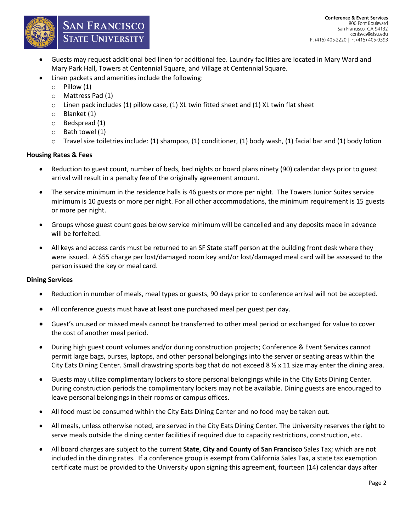

- Guests may request additional bed linen for additional fee. Laundry facilities are located in Mary Ward and Mary Park Hall, Towers at Centennial Square, and Village at Centennial Square.
- Linen packets and amenities include the following:

**SAN FRANCISCO** 

**STATE UNIVERSITY** 

- $\circ$  Pillow (1)
- o Mattress Pad (1)
- o Linen pack includes (1) pillow case, (1) XL twin fitted sheet and (1) XL twin flat sheet
- o Blanket (1)
- o Bedspread (1)
- o Bath towel (1)
- $\circ$  Travel size toiletries include: (1) shampoo, (1) conditioner, (1) body wash, (1) facial bar and (1) body lotion

#### **Housing Rates & Fees**

- Reduction to guest count, number of beds, bed nights or board plans ninety (90) calendar days prior to guest arrival will result in a penalty fee of the originally agreement amount.
- The service minimum in the residence halls is 46 guests or more per night. The Towers Junior Suites service minimum is 10 guests or more per night. For all other accommodations, the minimum requirement is 15 guests or more per night.
- Groups whose guest count goes below service minimum will be cancelled and any deposits made in advance will be forfeited.
- All keys and access cards must be returned to an SF State staff person at the building front desk where they were issued. A \$55 charge per lost/damaged room key and/or lost/damaged meal card will be assessed to the person issued the key or meal card.

#### **Dining Services**

- Reduction in number of meals, meal types or guests, 90 days prior to conference arrival will not be accepted.
- All conference guests must have at least one purchased meal per guest per day.
- Guest's unused or missed meals cannot be transferred to other meal period or exchanged for value to cover the cost of another meal period.
- During high guest count volumes and/or during construction projects; Conference & Event Services cannot permit large bags, purses, laptops, and other personal belongings into the server or seating areas within the City Eats Dining Center. Small drawstring sports bag that do not exceed 8  $\frac{1}{2}$  x 11 size may enter the dining area.
- Guests may utilize complimentary lockers to store personal belongings while in the City Eats Dining Center. During construction periods the complimentary lockers may not be available. Dining guests are encouraged to leave personal belongings in their rooms or campus offices.
- All food must be consumed within the City Eats Dining Center and no food may be taken out.
- All meals, unless otherwise noted, are served in the City Eats Dining Center. The University reserves the right to serve meals outside the dining center facilities if required due to capacity restrictions, construction, etc.
- All board charges are subject to the current **State**, **City and County of San Francisco** Sales Tax; which are not included in the dining rates. If a conference group is exempt from California Sales Tax, a state tax exemption certificate must be provided to the University upon signing this agreement, fourteen (14) calendar days after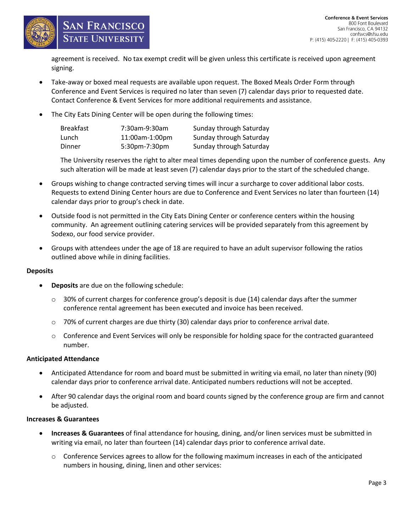

#### **Conference & Event Services** 800 Font Boulevard San Francisco, CA 94132 confsvcs@sfsu.edu P: (415) 405-2220 | F: (415) 405-0393

agreement is received. No tax exempt credit will be given unless this certificate is received upon agreement signing.

- Take-away or boxed meal requests are available upon request. The Boxed Meals Order Form through Conference and Event Services is required no later than seven (7) calendar days prior to requested date. Contact Conference & Event Services for more additional requirements and assistance.
- The City Eats Dining Center will be open during the following times:

| Breakfast | 7:30am-9:30am  | Sunday through Saturday |
|-----------|----------------|-------------------------|
| Lunch     | 11:00am-1:00pm | Sunday through Saturday |
| Dinner    | 5:30pm-7:30pm  | Sunday through Saturday |

The University reserves the right to alter meal times depending upon the number of conference guests. Any such alteration will be made at least seven (7) calendar days prior to the start of the scheduled change.

- Groups wishing to change contracted serving times will incur a surcharge to cover additional labor costs. Requests to extend Dining Center hours are due to Conference and Event Services no later than fourteen (14) calendar days prior to group's check in date.
- Outside food is not permitted in the City Eats Dining Center or conference centers within the housing community. An agreement outlining catering services will be provided separately from this agreement by Sodexo, our food service provider.
- Groups with attendees under the age of 18 are required to have an adult supervisor following the ratios outlined above while in dining facilities.

#### **Deposits**

**Deposits** are due on the following schedule:

**SAN FRANCISCO** 

**STATE UNIVERSITY** 

- $\circ$  30% of current charges for conference group's deposit is due (14) calendar days after the summer conference rental agreement has been executed and invoice has been received.
- $\circ$  70% of current charges are due thirty (30) calendar days prior to conference arrival date.
- o Conference and Event Services will only be responsible for holding space for the contracted guaranteed number.

#### **Anticipated Attendance**

- Anticipated Attendance for room and board must be submitted in writing via email, no later than ninety (90) calendar days prior to conference arrival date. Anticipated numbers reductions will not be accepted.
- After 90 calendar days the original room and board counts signed by the conference group are firm and cannot be adjusted.

#### **Increases & Guarantees**

- **Increases & Guarantees** of final attendance for housing, dining, and/or linen services must be submitted in writing via email, no later than fourteen (14) calendar days prior to conference arrival date.
	- o Conference Services agrees to allow for the following maximum increases in each of the anticipated numbers in housing, dining, linen and other services: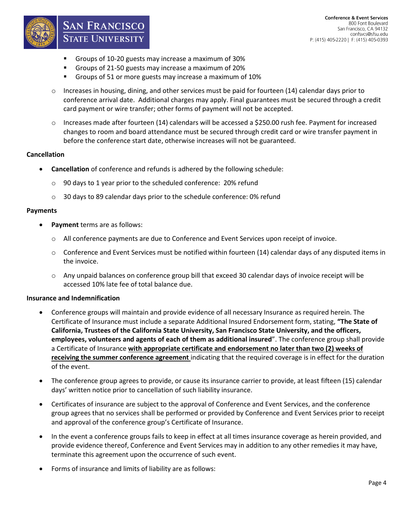

- Groups of 10-20 guests may increase a maximum of 30%
- Groups of 21-50 guests may increase a maximum of 20%
- Groups of 51 or more guests may increase a maximum of 10%
- $\circ$  Increases in housing, dining, and other services must be paid for fourteen (14) calendar days prior to conference arrival date. Additional charges may apply. Final guarantees must be secured through a credit card payment or wire transfer; other forms of payment will not be accepted.
- o Increases made after fourteen (14) calendars will be accessed a \$250.00 rush fee. Payment for increased changes to room and board attendance must be secured through credit card or wire transfer payment in before the conference start date, otherwise increases will not be guaranteed.

#### **Cancellation**

- **Cancellation** of conference and refunds is adhered by the following schedule:
	- o 90 days to 1 year prior to the scheduled conference: 20% refund
	- o 30 days to 89 calendar days prior to the schedule conference: 0% refund

#### **Payments**

**Payment** terms are as follows:

**SAN FRANCISCO** 

**STATE UNIVERSITY** 

- o All conference payments are due to Conference and Event Services upon receipt of invoice.
- o Conference and Event Services must be notified within fourteen (14) calendar days of any disputed items in the invoice.
- o Any unpaid balances on conference group bill that exceed 30 calendar days of invoice receipt will be accessed 10% late fee of total balance due.

#### **Insurance and Indemnification**

- Conference groups will maintain and provide evidence of all necessary Insurance as required herein. The Certificate of Insurance must include a separate Additional Insured Endorsement form, stating, **"The State of California, Trustees of the California State University, San Francisco State University, and the officers, employees, volunteers and agents of each of them as additional insured**". The conference group shall provide a Certificate of Insurance **with appropriate certificate and endorsement no later than two (2) weeks of receiving the summer conference agreement** indicating that the required coverage is in effect for the duration of the event.
- The conference group agrees to provide, or cause its insurance carrier to provide, at least fifteen (15) calendar days' written notice prior to cancellation of such liability insurance.
- Certificates of insurance are subject to the approval of Conference and Event Services, and the conference group agrees that no services shall be performed or provided by Conference and Event Services prior to receipt and approval of the conference group's Certificate of Insurance.
- In the event a conference groups fails to keep in effect at all times insurance coverage as herein provided, and provide evidence thereof, Conference and Event Services may in addition to any other remedies it may have, terminate this agreement upon the occurrence of such event.
- Forms of insurance and limits of liability are as follows: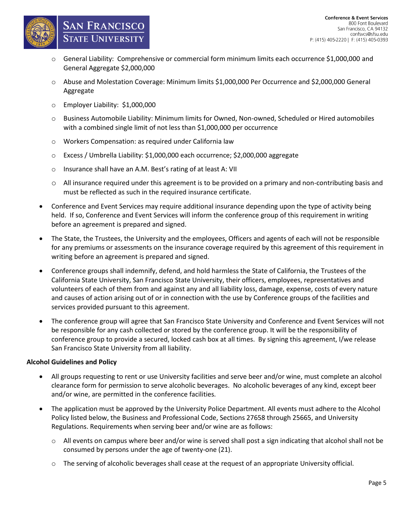

## **SAN FRANCISCO STATE UNIVERSITY**

- o General Liability: Comprehensive or commercial form minimum limits each occurrence \$1,000,000 and General Aggregate \$2,000,000
- o Abuse and Molestation Coverage: Minimum limits \$1,000,000 Per Occurrence and \$2,000,000 General Aggregate
- o Employer Liability: \$1,000,000
- o Business Automobile Liability: Minimum limits for Owned, Non-owned, Scheduled or Hired automobiles with a combined single limit of not less than \$1,000,000 per occurrence
- o Workers Compensation: as required under California law
- o Excess / Umbrella Liability: \$1,000,000 each occurrence; \$2,000,000 aggregate
- o Insurance shall have an A.M. Best's rating of at least A: VII
- o All insurance required under this agreement is to be provided on a primary and non-contributing basis and must be reflected as such in the required insurance certificate.
- Conference and Event Services may require additional insurance depending upon the type of activity being held. If so, Conference and Event Services will inform the conference group of this requirement in writing before an agreement is prepared and signed.
- The State, the Trustees, the University and the employees, Officers and agents of each will not be responsible for any premiums or assessments on the insurance coverage required by this agreement of this requirement in writing before an agreement is prepared and signed.
- Conference groups shall indemnify, defend, and hold harmless the State of California, the Trustees of the California State University, San Francisco State University, their officers, employees, representatives and volunteers of each of them from and against any and all liability loss, damage, expense, costs of every nature and causes of action arising out of or in connection with the use by Conference groups of the facilities and services provided pursuant to this agreement.
- The conference group will agree that San Francisco State University and Conference and Event Services will not be responsible for any cash collected or stored by the conference group. It will be the responsibility of conference group to provide a secured, locked cash box at all times. By signing this agreement, I/we release San Francisco State University from all liability.

### **Alcohol Guidelines and Policy**

- All groups requesting to rent or use University facilities and serve beer and/or wine, must complete an alcohol clearance form for permission to serve alcoholic beverages. No alcoholic beverages of any kind, except beer and/or wine, are permitted in the conference facilities.
- The application must be approved by the University Police Department. All events must adhere to the Alcohol Policy listed below, the Business and Professional Code, Sections 27658 through 25665, and University Regulations. Requirements when serving beer and/or wine are as follows:
	- $\circ$  All events on campus where beer and/or wine is served shall post a sign indicating that alcohol shall not be consumed by persons under the age of twenty-one (21).
	- o The serving of alcoholic beverages shall cease at the request of an appropriate University official.